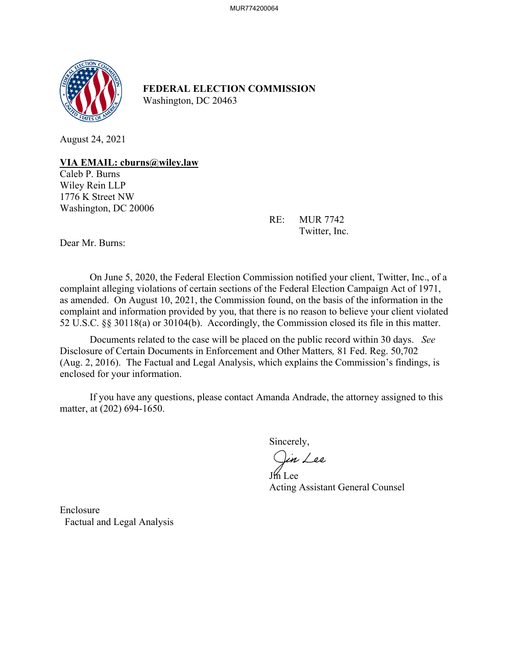

**FEDERAL ELECTION COMMISSION** Washington, DC 20463

August 24, 2021

**VIA EMAIL: cburns@wiley.law** 

Caleb P. Burns Wiley Rein LLP 1776 K Street NW Washington, DC 20006

> RE: MUR 7742 Twitter, Inc.

Dear Mr. Burns:

On June 5, 2020, the Federal Election Commission notified your client, Twitter, Inc., of a complaint alleging violations of certain sections of the Federal Election Campaign Act of 1971, as amended. On August 10, 2021, the Commission found, on the basis of the information in the complaint and information provided by you, that there is no reason to believe your client violated 52 U.S.C. §§ 30118(a) or 30104(b). Accordingly, the Commission closed its file in this matter.

Documents related to the case will be placed on the public record within 30 days. *See*  Disclosure of Certain Documents in Enforcement and Other Matters*,* 81 Fed. Reg. 50,702 (Aug. 2, 2016). The Factual and Legal Analysis, which explains the Commission's findings, is enclosed for your information.

 If you have any questions, please contact Amanda Andrade, the attorney assigned to this matter, at (202) 694-1650.

Sincerely,

)in Lee

**If Lee** Acting Assistant General Counsel

**Enclosure** Factual and Legal Analysis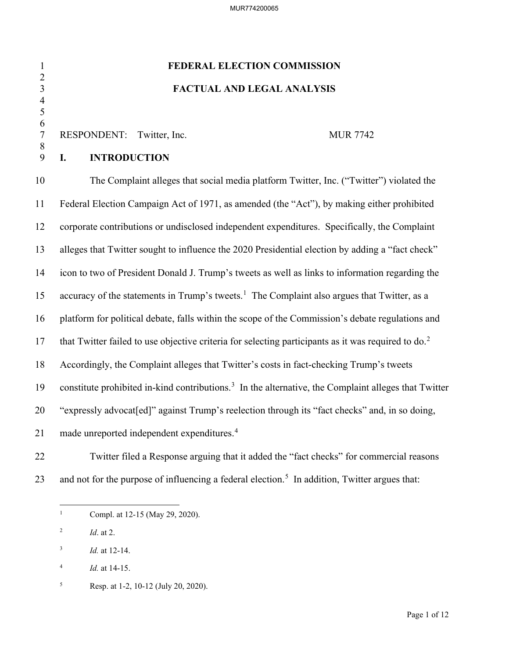# 1 **FEDERAL ELECTION COMMISSION** 3 **FACTUAL AND LEGAL ANALYSIS**

# RESPONDENT: Twitter, Inc. MUR 7742

# 9 **I. INTRODUCTION**

 $\frac{2}{3}$ 

 4 5  $\frac{6}{7}$ 

8

10 The Complaint alleges that social media platform Twitter, Inc. ("Twitter") violated the 11 Federal Election Campaign Act of 1971, as amended (the "Act"), by making either prohibited 12 corporate contributions or undisclosed independent expenditures. Specifically, the Complaint 13 alleges that Twitter sought to influence the 2020 Presidential election by adding a "fact check" 14 icon to two of President Donald J. Trump's tweets as well as links to information regarding the [1](#page-1-0)5 accuracy of the statements in Trump's tweets.<sup>1</sup> The Complaint also argues that Twitter, as a 16 platform for political debate, falls within the scope of the Commission's debate regulations and 17 that Twitter failed to use objective criteria for selecting participants as it was required to  $\delta$ . 18 Accordingly, the Complaint alleges that Twitter's costs in fact-checking Trump's tweets 19 constitute prohibited in-kind contributions.<sup>3</sup> In the alternative, the Complaint alleges that Twitter 20 "expressly advocat[ed]" against Trump's reelection through its "fact checks" and, in so doing, 21 made unreported independent expenditures.<sup>[4](#page-1-3)</sup>

22 Twitter filed a Response arguing that it added the "fact checks" for commercial reasons 23 and not for the purpose of influencing a federal election.<sup>[5](#page-1-4)</sup> In addition, Twitter argues that:

<span id="page-1-0"></span><sup>1</sup> Compl. at 12-15 (May 29, 2020).

<span id="page-1-1"></span><sup>2</sup> *Id*. at 2.

<span id="page-1-2"></span><sup>3</sup> *Id.* at 12-14.

<span id="page-1-3"></span><sup>4</sup> *Id.* at 14-15.

<span id="page-1-4"></span><sup>5</sup> Resp. at 1-2, 10-12 (July 20, 2020).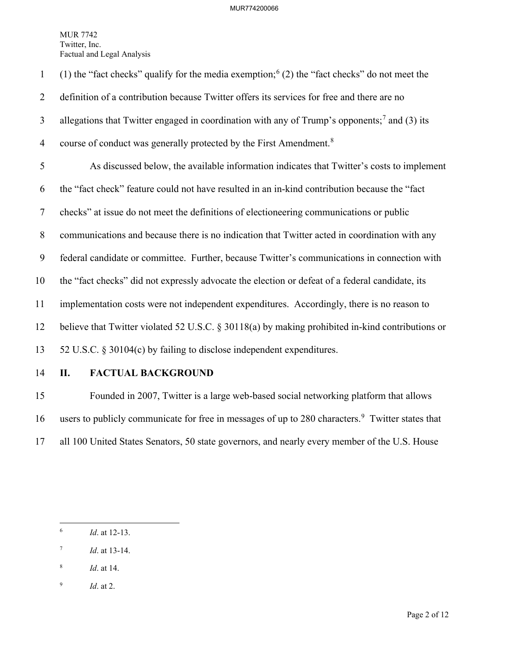(1) the "fact checks" qualify for the media exemption;  $(2)$  the "fact checks" do not meet the 2 definition of a contribution because Twitter offers its services for free and there are no 3 allegations that Twitter engaged in coordination with any of Trump's opponents;<sup>[7](#page-2-1)</sup> and (3) its 4 course of conduct was generally protected by the First Amendment.<sup>[8](#page-2-2)</sup> 5 As discussed below, the available information indicates that Twitter's costs to implement 6 the "fact check" feature could not have resulted in an in-kind contribution because the "fact 7 checks" at issue do not meet the definitions of electioneering communications or public 8 communications and because there is no indication that Twitter acted in coordination with any 9 federal candidate or committee. Further, because Twitter's communications in connection with 10 the "fact checks" did not expressly advocate the election or defeat of a federal candidate, its 11 implementation costs were not independent expenditures. Accordingly, there is no reason to 12 believe that Twitter violated 52 U.S.C. § 30118(a) by making prohibited in-kind contributions or 13 52 U.S.C. § 30104(c) by failing to disclose independent expenditures.

# 14 **II. FACTUAL BACKGROUND**

15 Founded in 2007, Twitter is a large web-based social networking platform that allows 16 users to publicly communicate for free in messages of up to 280 characters.<sup>[9](#page-2-3)</sup> Twitter states that 17 all 100 United States Senators, 50 state governors, and nearly every member of the U.S. House

- <span id="page-2-1"></span>7 *Id*. at 13-14.
- <span id="page-2-2"></span>8 *Id*. at 14.

<span id="page-2-0"></span><sup>6</sup> *Id*. at 12-13.

<span id="page-2-3"></span><sup>9</sup> *Id*. at 2.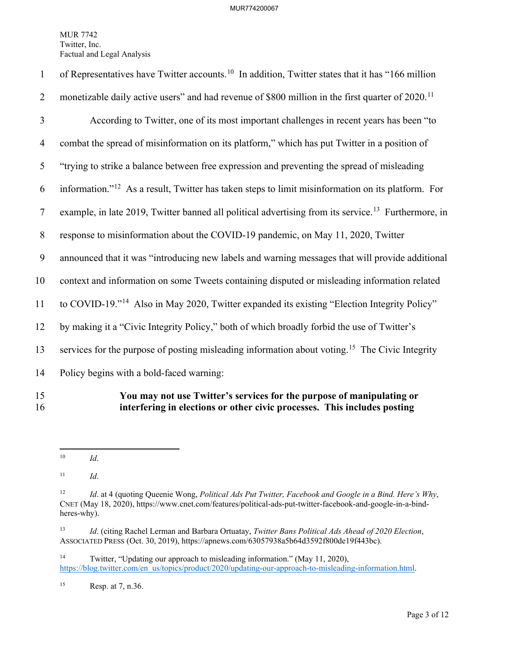| $\mathbf{1}$   | of Representatives have Twitter accounts. <sup>10</sup> In addition, Twitter states that it has "166 million    |
|----------------|-----------------------------------------------------------------------------------------------------------------|
| $\overline{2}$ | monetizable daily active users" and had revenue of \$800 million in the first quarter of 2020. <sup>11</sup>    |
| 3              | According to Twitter, one of its most important challenges in recent years has been "to                         |
| $\overline{4}$ | combat the spread of misinformation on its platform," which has put Twitter in a position of                    |
| 5              | "trying to strike a balance between free expression and preventing the spread of misleading                     |
| 6              | information." <sup>12</sup> As a result, Twitter has taken steps to limit misinformation on its platform. For   |
| $\tau$         | example, in late 2019, Twitter banned all political advertising from its service. <sup>13</sup> Furthermore, in |
| $\,8\,$        | response to misinformation about the COVID-19 pandemic, on May 11, 2020, Twitter                                |
| 9              | announced that it was "introducing new labels and warning messages that will provide additional                 |
| 10             | context and information on some Tweets containing disputed or misleading information related                    |
| 11             | to COVID-19." <sup>14</sup> Also in May 2020, Twitter expanded its existing "Election Integrity Policy"         |
| 12             | by making it a "Civic Integrity Policy," both of which broadly forbid the use of Twitter's                      |
| 13             | services for the purpose of posting misleading information about voting. <sup>15</sup> The Civic Integrity      |
| 14             | Policy begins with a bold-faced warning:                                                                        |
| 15             | You may not use Twitter's services for the purpose of manipulating or                                           |

16 **interfering in elections or other civic processes. This includes posting** 

<span id="page-3-4"></span><sup>14</sup> Twitter, "Updating our approach to misleading information." (May 11, 2020), [https://blog.twitter.com/en\\_us/topics/product/2020/updating-our-approach-to-misleading-information.html.](https://blog.twitter.com/en_us/topics/product/2020/updating-our-approach-to-misleading-information.html)

<span id="page-3-5"></span>15 Resp. at 7, n.36.

<span id="page-3-0"></span><sup>10</sup> *Id*.

<span id="page-3-1"></span><sup>11</sup> *Id*.

<span id="page-3-2"></span><sup>12</sup> *Id*. at 4 (quoting Queenie Wong, *Political Ads Put Twitter, Facebook and Google in a Bind. Here's Why*, CNET (May 18, 2020), https://www.cnet.com/features/political-ads-put-twitter-facebook-and-google-in-a-bindheres-why).

<span id="page-3-3"></span><sup>13</sup> *Id*. (citing Rachel Lerman and Barbara Ortuatay, *Twitter Bans Political Ads Ahead of 2020 Election*, ASSOCIATED PRESS (Oct. 30, 2019), https://apnews.com/63057938a5b64d3592f800de19f443bc).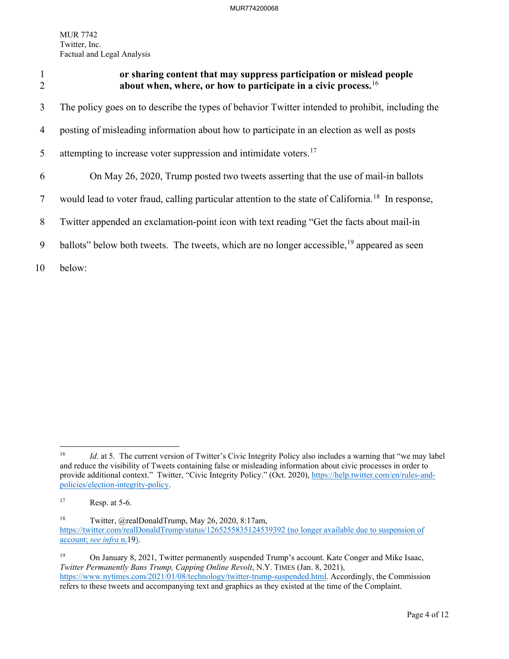<span id="page-4-0"></span>

| $\overline{2}$ | or sharing content that may suppress participation or mislead people<br>about when, where, or how to participate in a civic process. <sup>16</sup> |
|----------------|----------------------------------------------------------------------------------------------------------------------------------------------------|
| 3              | The policy goes on to describe the types of behavior Twitter intended to prohibit, including the                                                   |
| 4              | posting of misleading information about how to participate in an election as well as posts                                                         |
| 5              | attempting to increase voter suppression and intimidate voters. <sup>17</sup>                                                                      |
| 6              | On May 26, 2020, Trump posted two tweets asserting that the use of mail-in ballots                                                                 |
| 7              | would lead to voter fraud, calling particular attention to the state of California. <sup>18</sup> In response,                                     |
| 8              | Twitter appended an exclamation-point icon with text reading "Get the facts about mail-in                                                          |
| 9              | ballots" below both tweets. The tweets, which are no longer accessible, <sup>19</sup> appeared as seen                                             |
| 10             | below:                                                                                                                                             |

<span id="page-4-1"></span><sup>&</sup>lt;sup>16</sup> *Id.* at 5. The current version of Twitter's Civic Integrity Policy also includes a warning that "we may label and reduce the visibility of Tweets containing false or misleading information about civic processes in order to provide additional context." Twitter, "Civic Integrity Policy." (Oct. 2020), [https://help.twitter.com/en/rules-and](https://help.twitter.com/en/rules-and-policies/election-integrity-policy)[policies/election-integrity-policy.](https://help.twitter.com/en/rules-and-policies/election-integrity-policy)

<span id="page-4-2"></span> $17$  Resp. at 5-6.

<span id="page-4-3"></span><sup>18</sup> Twitter, @realDonaldTrump, May 26, 2020, 8:17am, <https://twitter.com/realDonaldTrump/status/1265255835124539392> (no longer available due to suspension of account; *see infra* n[.19\)](#page-4-0).

<span id="page-4-4"></span><sup>&</sup>lt;sup>19</sup> On January 8, 2021, Twitter permanently suspended Trump's account. Kate Conger and Mike Isaac, *Twitter Permanently Bans Trump, Capping Online Revolt*, N.Y. TIMES (Jan. 8, 2021), [https://www.nytimes.com/2021/01/08/technology/twitter-trump-suspended.html.](https://www.nytimes.com/2021/01/08/technology/twitter-trump-suspended.html) Accordingly, the Commission refers to these tweets and accompanying text and graphics as they existed at the time of the Complaint.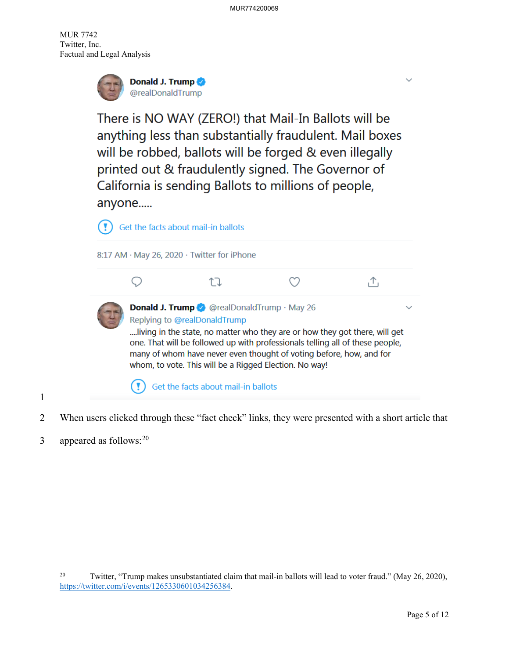

There is NO WAY (ZERO!) that Mail-In Ballots will be anything less than substantially fraudulent. Mail boxes will be robbed, ballots will be forged & even illegally printed out & fraudulently signed. The Governor of California is sending Ballots to millions of people, anyone.....



- 2 When users clicked through these "fact check" links, they were presented with a short article that
- 3 appeared as follows:  $20$

1

<span id="page-5-0"></span><sup>&</sup>lt;sup>20</sup> Twitter, "Trump makes unsubstantiated claim that mail-in ballots will lead to voter fraud." (May 26, 2020), [https://twitter.com/i/events/1265330601034256384.](https://twitter.com/i/events/1265330601034256384)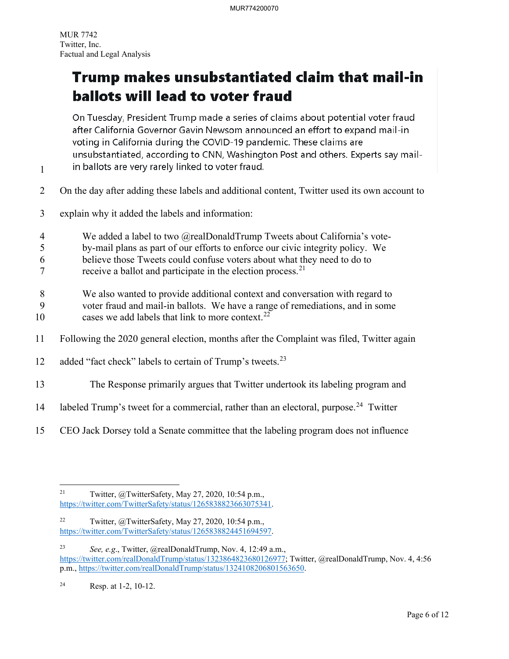1

# Trump makes unsubstantiated claim that mail-in ballots will lead to voter fraud

On Tuesday, President Trump made a series of claims about potential voter fraud after California Governor Gavin Newsom announced an effort to expand mail-in voting in California during the COVID-19 pandemic. These claims are unsubstantiated, according to CNN, Washington Post and others. Experts say mailin ballots are very rarely linked to voter fraud.

- 
- 2 On the day after adding these labels and additional content, Twitter used its own account to
- 3 explain why it added the labels and information:
- 4 We added a label to two @realDonaldTrump Tweets about California's vote-
- 5 by-mail plans as part of our efforts to enforce our civic integrity policy. We
- 6 believe those Tweets could confuse voters about what they need to do to
- $7$  receive a ballot and participate in the election process.<sup>[21](#page-6-0)</sup>
- 8 We also wanted to provide additional context and conversation with regard to
- 9 voter fraud and mail-in ballots. We have a range of remediations, and in some 10 cases we add labels that link to more context.<sup>[22](#page-6-1)</sup>
- 11 Following the 2020 general election, months after the Complaint was filed, Twitter again
- 12 added "fact check" labels to certain of Trump's tweets. $^{23}$  $^{23}$  $^{23}$
- 13 The Response primarily argues that Twitter undertook its labeling program and
- 14 labeled Trump's tweet for a commercial, rather than an electoral, purpose.<sup>[24](#page-6-3)</sup> Twitter
- 15 CEO Jack Dorsey told a Senate committee that the labeling program does not influence

<span id="page-6-0"></span><sup>&</sup>lt;sup>21</sup> Twitter,  $\omega$ TwitterSafety, May 27, 2020, 10:54 p.m., [https://twitter.com/TwitterSafety/status/1265838823663075341.](https://twitter.com/TwitterSafety/status/1265838823663075341)

<span id="page-6-1"></span><sup>&</sup>lt;sup>22</sup> Twitter, @TwitterSafety, May 27, 2020, 10:54 p.m., [https://twitter.com/TwitterSafety/status/1265838824451694597.](https://twitter.com/TwitterSafety/status/1265838824451694597)

<span id="page-6-2"></span><sup>23</sup> *See, e.g*., Twitter, @realDonaldTrump, Nov. 4, 12:49 a.m., [https://twitter.com/realDonaldTrump/status/1323864823680126977;](https://twitter.com/realDonaldTrump/status/1323864823680126977) Twitter, @realDonaldTrump, Nov. 4, 4:56 p.m., [https://twitter.com/realDonaldTrump/status/1324108206801563650.](https://twitter.com/realDonaldTrump/status/1324108206801563650)

<span id="page-6-3"></span><sup>24</sup> Resp. at 1-2, 10-12.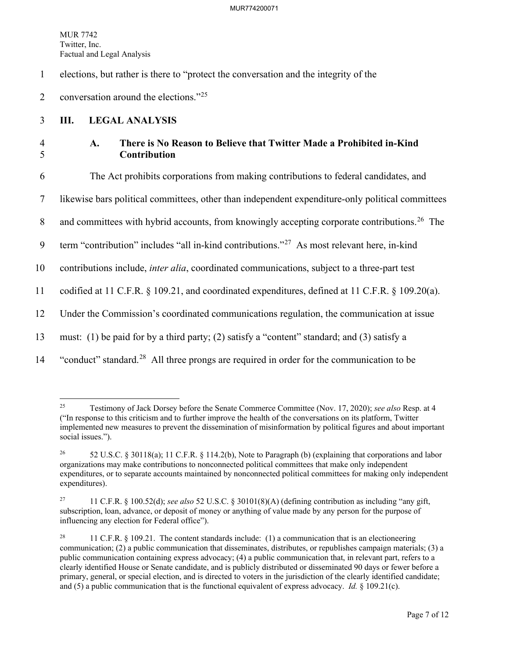#### MUR774200071

MUR 7742 Twitter, Inc. Factual and Legal Analysis

1 elections, but rather is there to "protect the conversation and the integrity of the

2 conversation around the elections." $2^{25}$  $2^{25}$  $2^{25}$ 

### 3 **III. LEGAL ANALYSIS**

# 4 **A. There is No Reason to Believe that Twitter Made a Prohibited in-Kind**  5 **Contribution**

6 The Act prohibits corporations from making contributions to federal candidates, and

7 likewise bars political committees, other than independent expenditure-only political committees

8 and committees with hybrid accounts, from knowingly accepting corporate contributions.<sup>[26](#page-7-1)</sup> The

9  $\text{term}$  "contribution" includes "all in-kind contributions."<sup>[27](#page-7-2)</sup> As most relevant here, in-kind

10 contributions include, *inter alia*, coordinated communications, subject to a three-part test

11 codified at 11 C.F.R. § 109.21, and coordinated expenditures, defined at 11 C.F.R. § 109.20(a).

12 Under the Commission's coordinated communications regulation, the communication at issue

13 must: (1) be paid for by a third party; (2) satisfy a "content" standard; and (3) satisfy a

<sup>14</sup> "conduct" standard.<sup>[28](#page-7-3)</sup> All three prongs are required in order for the communication to be

<span id="page-7-0"></span><sup>25</sup> Testimony of Jack Dorsey before the Senate Commerce Committee (Nov. 17, 2020); *see also* Resp. at 4 ("In response to this criticism and to further improve the health of the conversations on its platform, Twitter implemented new measures to prevent the dissemination of misinformation by political figures and about important social issues.").

<span id="page-7-1"></span><sup>26 52</sup> U.S.C. § 30118(a); 11 C.F.R. § 114.2(b), Note to Paragraph (b) (explaining that corporations and labor organizations may make contributions to nonconnected political committees that make only independent expenditures, or to separate accounts maintained by nonconnected political committees for making only independent expenditures).

<span id="page-7-2"></span><sup>27 11</sup> C.F.R. § 100.52(d); *see also* 52 U.S.C. § 30101(8)(A) (defining contribution as including "any gift, subscription, loan, advance, or deposit of money or anything of value made by any person for the purpose of influencing any election for Federal office").

<span id="page-7-3"></span><sup>&</sup>lt;sup>28</sup> 11 C.F.R. § 109.21. The content standards include: (1) a communication that is an electioneering communication; (2) a public communication that disseminates, distributes, or republishes campaign materials; (3) a public communication containing express advocacy; (4) a public communication that, in relevant part, refers to a clearly identified House or Senate candidate, and is publicly distributed or disseminated 90 days or fewer before a primary, general, or special election, and is directed to voters in the jurisdiction of the clearly identified candidate; and (5) a public communication that is the functional equivalent of express advocacy. *Id.* § 109.21(c).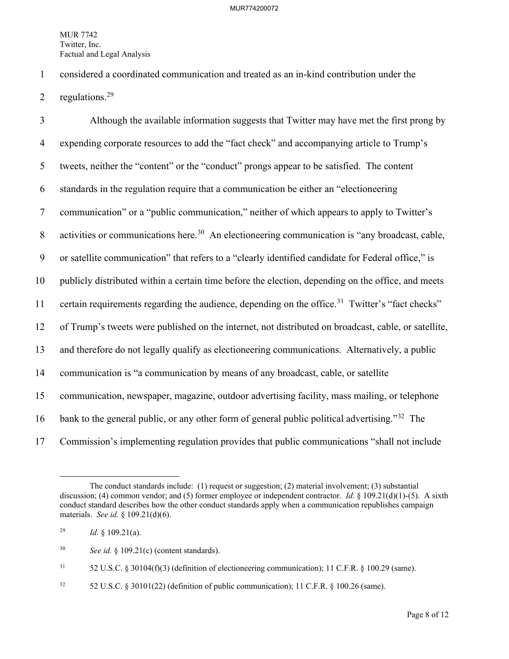1 considered a coordinated communication and treated as an in-kind contribution under the

2 regulations. $29$ 

3 Although the available information suggests that Twitter may have met the first prong by 4 expending corporate resources to add the "fact check" and accompanying article to Trump's 5 tweets, neither the "content" or the "conduct" prongs appear to be satisfied. The content 6 standards in the regulation require that a communication be either an "electioneering 7 communication" or a "public communication," neither of which appears to apply to Twitter's 8 activities or communications here.<sup>[30](#page-8-1)</sup> An electioneering communication is "any broadcast, cable, 9 or satellite communication" that refers to a "clearly identified candidate for Federal office," is 10 publicly distributed within a certain time before the election, depending on the office, and meets 11 certain requirements regarding the audience, depending on the office.<sup>[31](#page-8-2)</sup> Twitter's "fact checks" 12 of Trump's tweets were published on the internet, not distributed on broadcast, cable, or satellite, 13 and therefore do not legally qualify as electioneering communications. Alternatively, a public 14 communication is "a communication by means of any broadcast, cable, or satellite 15 communication, newspaper, magazine, outdoor advertising facility, mass mailing, or telephone 16 bank to the general public, or any other form of general public political advertising."<sup>[32](#page-8-3)</sup> The 17 Commission's implementing regulation provides that public communications "shall not include

<span id="page-8-2"></span> $31$  52 U.S.C. § 30104(f)(3) (definition of electioneering communication); 11 C.F.R. § 100.29 (same).

<span id="page-8-3"></span><sup>32</sup> 52 U.S.C. § 30101(22) (definition of public communication); 11 C.F.R. § 100.26 (same).

The conduct standards include: (1) request or suggestion; (2) material involvement; (3) substantial discussion; (4) common vendor; and (5) former employee or independent contractor. *Id.* § 109.21(d)(1)-(5). A sixth conduct standard describes how the other conduct standards apply when a communication republishes campaign materials. *See id.* § 109.21(d)(6).

<span id="page-8-0"></span><sup>&</sup>lt;sup>29</sup> *Id.* § 109.21(a).

<span id="page-8-1"></span><sup>30</sup> *See id.* § 109.21(c) (content standards).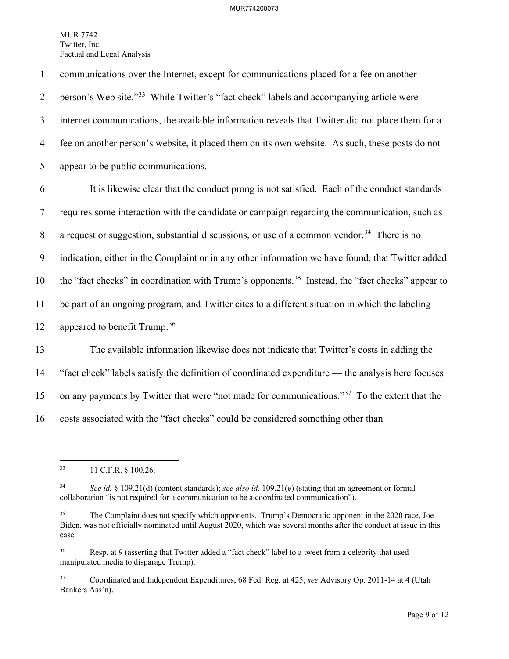1 communications over the Internet, except for communications placed for a fee on another 2 person's Web site."<sup>[33](#page-9-0)</sup> While Twitter's "fact check" labels and accompanying article were 3 internet communications, the available information reveals that Twitter did not place them for a 4 fee on another person's website, it placed them on its own website. As such, these posts do not 5 appear to be public communications. 6 It is likewise clear that the conduct prong is not satisfied. Each of the conduct standards

7 requires some interaction with the candidate or campaign regarding the communication, such as 8 a request or suggestion, substantial discussions, or use of a common vendor.<sup>[34](#page-9-1)</sup> There is no 9 indication, either in the Complaint or in any other information we have found, that Twitter added 10 the "fact checks" in coordination with Trump's opponents.<sup>35</sup> Instead, the "fact checks" appear to 11 be part of an ongoing program, and Twitter cites to a different situation in which the labeling 12 appeared to benefit Trump.<sup>[36](#page-9-3)</sup>

13 The available information likewise does not indicate that Twitter's costs in adding the 14 "fact check" labels satisfy the definition of coordinated expenditure — the analysis here focuses 15 on any payments by Twitter that were "not made for communications."<sup>[37](#page-9-4)</sup> To the extent that the 16 costs associated with the "fact checks" could be considered something other than

<span id="page-9-0"></span><sup>33 11</sup> C.F.R. § 100.26.

<span id="page-9-1"></span><sup>34</sup> *See id.* § 109.21(d) (content standards); *see also id.* 109.21(e) (stating that an agreement or formal collaboration "is not required for a communication to be a coordinated communication").

<span id="page-9-2"></span><sup>&</sup>lt;sup>35</sup> The Complaint does not specify which opponents. Trump's Democratic opponent in the 2020 race, Joe Biden, was not officially nominated until August 2020, which was several months after the conduct at issue in this case.

<span id="page-9-3"></span><sup>&</sup>lt;sup>36</sup> Resp. at 9 (asserting that Twitter added a "fact check" label to a tweet from a celebrity that used manipulated media to disparage Trump).

<span id="page-9-4"></span><sup>37</sup> Coordinated and Independent Expenditures, 68 Fed. Reg. at 425; *see* Advisory Op. 2011-14 at 4 (Utah Bankers Ass'n).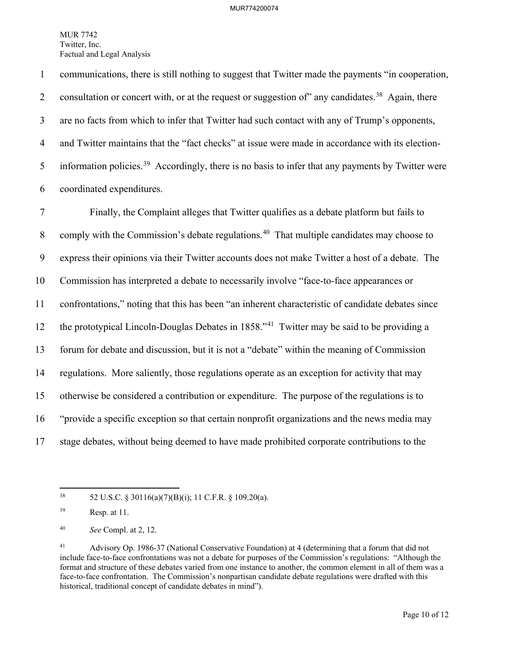1 communications, there is still nothing to suggest that Twitter made the payments "in cooperation, 2 consultation or concert with, or at the request or suggestion of any candidates.<sup>[38](#page-10-0)</sup> Again, there 3 are no facts from which to infer that Twitter had such contact with any of Trump's opponents, 4 and Twitter maintains that the "fact checks" at issue were made in accordance with its election-5 information policies.<sup>39</sup> Accordingly, there is no basis to infer that any payments by Twitter were 6 coordinated expenditures.

7 Finally, the Complaint alleges that Twitter qualifies as a debate platform but fails to 8 comply with the Commission's debate regulations.<sup>[40](#page-10-2)</sup> That multiple candidates may choose to 9 express their opinions via their Twitter accounts does not make Twitter a host of a debate. The 10 Commission has interpreted a debate to necessarily involve "face-to-face appearances or 11 confrontations," noting that this has been "an inherent characteristic of candidate debates since 12 the prototypical Lincoln-Douglas Debates in  $1858.^{41}$  $1858.^{41}$  $1858.^{41}$  Twitter may be said to be providing a 13 forum for debate and discussion, but it is not a "debate" within the meaning of Commission 14 regulations. More saliently, those regulations operate as an exception for activity that may 15 otherwise be considered a contribution or expenditure. The purpose of the regulations is to 16 "provide a specific exception so that certain nonprofit organizations and the news media may 17 stage debates, without being deemed to have made prohibited corporate contributions to the

<span id="page-10-0"></span><sup>38 52</sup> U.S.C. § 30116(a)(7)(B)(i); 11 C.F.R. § 109.20(a).

<span id="page-10-1"></span><sup>39</sup> Resp. at 11.

<span id="page-10-2"></span><sup>40</sup> *See* Compl. at 2, 12.

<span id="page-10-3"></span><sup>41</sup> Advisory Op. 1986-37 (National Conservative Foundation) at 4 (determining that a forum that did not include face-to-face confrontations was not a debate for purposes of the Commission's regulations: "Although the format and structure of these debates varied from one instance to another, the common element in all of them was a face-to-face confrontation. The Commission's nonpartisan candidate debate regulations were drafted with this historical, traditional concept of candidate debates in mind").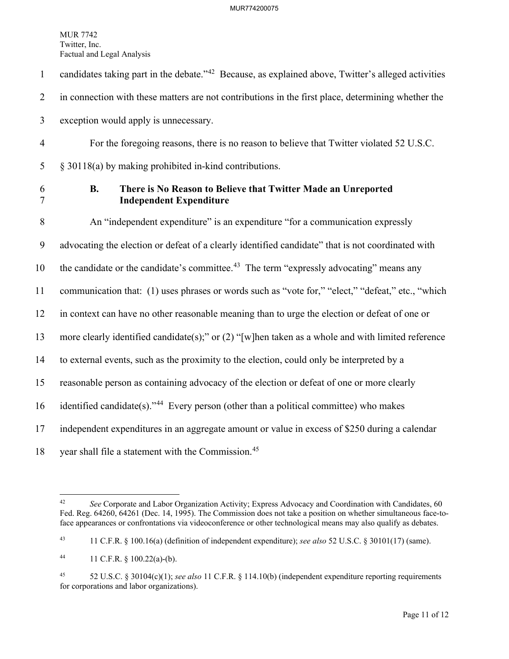- 1 candidates taking part in the debate." $42$  Because, as explained above, Twitter's alleged activities 2 in connection with these matters are not contributions in the first place, determining whether the 3 exception would apply is unnecessary.
- 4 For the foregoing reasons, there is no reason to believe that Twitter violated 52 U.S.C. 5 § 30118(a) by making prohibited in-kind contributions.
- 

# 6 **B. There is No Reason to Believe that Twitter Made an Unreported**  7 **Independent Expenditure**

8 An "independent expenditure" is an expenditure "for a communication expressly 9 advocating the election or defeat of a clearly identified candidate" that is not coordinated with 10 the candidate or the candidate's committee.<sup>[43](#page-11-1)</sup> The term "expressly advocating" means any 11 communication that: (1) uses phrases or words such as "vote for," "elect," "defeat," etc., "which 12 in context can have no other reasonable meaning than to urge the election or defeat of one or 13 more clearly identified candidate(s);" or (2) "[w]hen taken as a whole and with limited reference 14 to external events, such as the proximity to the election, could only be interpreted by a 15 reasonable person as containing advocacy of the election or defeat of one or more clearly 16 identified candidate(s)."<sup>44</sup> Every person (other than a political committee) who makes 17 independent expenditures in an aggregate amount or value in excess of \$250 during a calendar

18 vear shall file a statement with the Commission.<sup>[45](#page-11-3)</sup>

<span id="page-11-0"></span><sup>&</sup>lt;sup>42</sup> *See* Corporate and Labor Organization Activity; Express Advocacy and Coordination with Candidates, 60 Fed. Reg. 64260, 64261 (Dec. 14, 1995). The Commission does not take a position on whether simultaneous face-toface appearances or confrontations via videoconference or other technological means may also qualify as debates.

<span id="page-11-1"></span><sup>43 11</sup> C.F.R. § 100.16(a) (definition of independent expenditure); *see also* 52 U.S.C. § 30101(17) (same).

<span id="page-11-2"></span><sup>44 11</sup> C.F.R. § 100.22(a)-(b).

<span id="page-11-3"></span><sup>45 52</sup> U.S.C. § 30104(c)(1); *see also* 11 C.F.R. § 114.10(b) (independent expenditure reporting requirements for corporations and labor organizations).